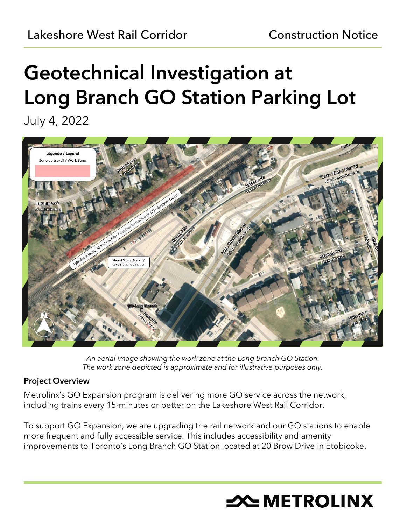# Geotechnical Investigation at Long Branch GO Station Parking Lot

July 4, 2022



*An aerial image showing the work zone at the Long Branch GO Station. The work zone depicted is approximate and for illustrative purposes only.*

# Project Overview

Metrolinx's GO Expansion program is delivering more GO service across the network, including trains every 15-minutes or better on the Lakeshore West Rail Corridor.

To support GO Expansion, we are upgrading the rail network and our GO stations to enable more frequent and fully accessible service. This includes accessibility and amenity improvements to Toronto's Long Branch GO Station located at 20 Brow Drive in Etobicoke.

# **X METROLINX**